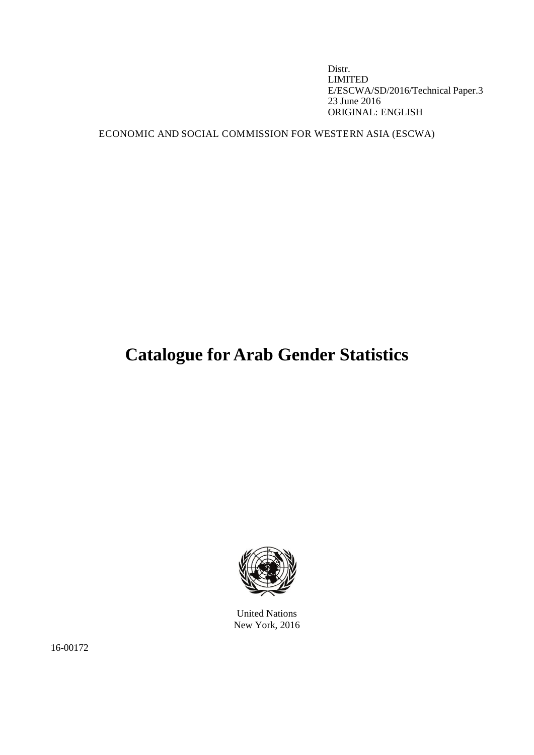Distr. LIMITED E/ESCWA/SD/2016/Technical Paper.3 23 June 2016 ORIGINAL: ENGLISH

ECONOMIC AND SOCIAL COMMISSION FOR WESTERN ASIA (ESCWA)

# **Catalogue for Arab Gender Statistics**



United Nations New York, 2016

16-00172